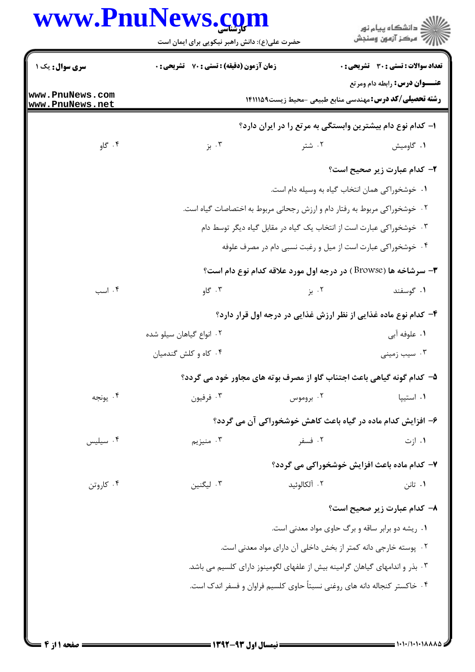|                                    | حضرت علی(ع): دانش راهبر نیکویی برای ایمان است                   |                                                                              | ڪ دانشڪاه پيام نور<br>//> مرڪز آزمون وسنڊش                                                               |  |
|------------------------------------|-----------------------------------------------------------------|------------------------------------------------------------------------------|----------------------------------------------------------------------------------------------------------|--|
| <b>سری سوال :</b> یک ۱             | <b>زمان آزمون (دقیقه) : تستی : 70 قشریحی : 0</b>                |                                                                              | <b>تعداد سوالات : تستی : 30 ٪ تشریحی : 0</b>                                                             |  |
| www.PnuNews.com<br>www.PnuNews.net |                                                                 |                                                                              | <b>عنـــوان درس:</b> رابطه دام ومرتع<br><b>رشته تحصیلی/کد درس: م</b> هندسی منابع طبیعی -محیط زیست1۴۱۱۱۵۹ |  |
|                                    |                                                                 |                                                                              | ا– کدام نوع دام بیشترین وابستگی به مرتع را در ایران دارد؟                                                |  |
| ۰۴ گاو                             | ۰۳ بز                                                           | ۰۲ شتر                                                                       | ۰۱ گاومیش                                                                                                |  |
|                                    |                                                                 |                                                                              | ۲- کدام عبارت زیر صحیح است؟                                                                              |  |
|                                    |                                                                 |                                                                              | ٠١. خوشخوراكي همان انتخاب گياه به وسيله دام است.                                                         |  |
|                                    |                                                                 | ۰۲ خوشخوراکی مربوط به رفتار دام و ارزش رجحانی مربوط به اختصاصات گیاه است.    |                                                                                                          |  |
|                                    |                                                                 | ۰۳ خوشخوراکی عبارت است از انتخاب یک گیاه در مقابل گیاه دیگر توسط دام         |                                                                                                          |  |
|                                    | ۰۴ خوشخوراکی عبارت است از میل و رغبت نسبی دام در مصرف علوفه     |                                                                              |                                                                                                          |  |
|                                    |                                                                 |                                                                              | <b>۳</b> - سرشاخه ها (Browse ) در درجه اول مورد علاقه کدام نوع دام است؟                                  |  |
| ۰۴ اسب                             | ۰۳ گاو                                                          | ۰۲ بز                                                                        | ۰۱ گوسفند                                                                                                |  |
|                                    | ۴- کدام نوع ماده غذایی از نظر ارزش غذایی در درجه اول قرار دارد؟ |                                                                              |                                                                                                          |  |
|                                    | ۰۲ انواع گیاهان سیلو شده                                        |                                                                              | ۱. علوفه آبي                                                                                             |  |
|                                    | ۰۴ کاه و کلش گندمیان                                            |                                                                              | ۰۳ سیب زمینی                                                                                             |  |
|                                    |                                                                 |                                                                              | ۵– کدام گونه گیاهی باعث اجتناب گاو از مصرف بوته های مجاور خود می گردد؟                                   |  |
| ۰۴ يونجه                           | ۰۳ فرفيون                                                       | ۰۲ بروموس                                                                    | ۰۱ استیپا                                                                                                |  |
|                                    |                                                                 |                                                                              | ۶- افزایش کدام ماده در گیاه باعث کاهش خوشخوراکی آن می گردد؟                                              |  |
| ۰۴ سیلیس                           | ۰۳ منیزیم                                                       | ۰۲ فسفر                                                                      | ۰۱ ازت                                                                                                   |  |
|                                    |                                                                 |                                                                              | ۷- کدام ماده باعث افزایش خوشخوراکی می گردد؟                                                              |  |
| ۰۴ کاروتن                          | ۰۳ لیگنین                                                       | ٢. آلكالوئيد                                                                 | ۰۱ تانن                                                                                                  |  |
|                                    |                                                                 |                                                                              | ٨– كدام عبارت زير صحيح است؟                                                                              |  |
|                                    |                                                                 |                                                                              | ۰۱ ریشه دو برابر ساقه و برگ حاوی مواد معدنی است.                                                         |  |
|                                    |                                                                 | ۰۲ پوسته خارجی دانه کمتر از بخش داخلی آن دارای مواد معدنی است.               |                                                                                                          |  |
|                                    |                                                                 | ۰۳ بذر و اندامهای گیاهان گرامینه بیش از علفهای لگومینوز دارای کلسیم می باشد. |                                                                                                          |  |
|                                    |                                                                 | ۰۴ خاکستر کنجاله دانه های روغنی نسبتاً حاوی کلسیم فراوان و فسفر اندک است.    |                                                                                                          |  |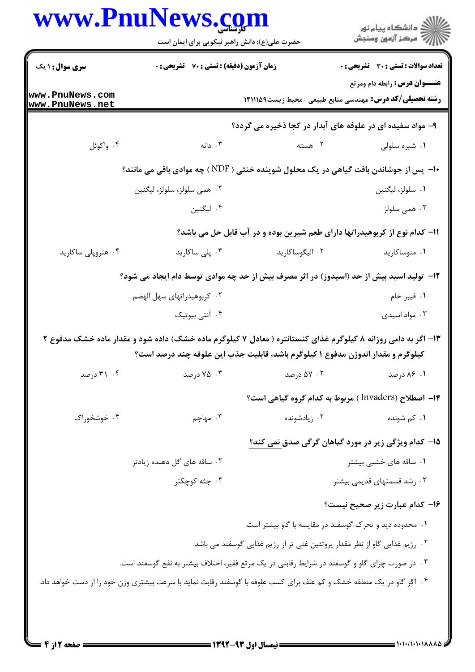| www.PnuNews.com                    | حضرت علی(ع): دانش راهبر نیکویی برای ایمان است                                                                        |                 | ڪ دانشڪاه پيام نور<br>پ <sup>ر</sup> مرڪز آزمون وسنڊش                                                         |
|------------------------------------|----------------------------------------------------------------------------------------------------------------------|-----------------|---------------------------------------------------------------------------------------------------------------|
| <b>سری سوال : ۱ یک</b>             | <b>زمان آزمون (دقیقه) : تستی : 70 ٪ تشریحی : 0</b>                                                                   |                 | <b>تعداد سوالات : تستی : 30 ٪ تشریحی : 0</b>                                                                  |
| www.PnuNews.com<br>www.PnuNews.net |                                                                                                                      |                 | <b>عنـــوان درس:</b> رابطه دام ومرتع<br><b>رشته تحصیلی/کد درس:</b> مهندسی منابع طبیعی -محیط زیست1۴۱۱۱۵۹       |
|                                    |                                                                                                                      |                 | ۹- مواد سفیده ای در علوفه های آبدار در کجا ذخیره می گردد؟                                                     |
| ۰۴ واکوئل                          | ۰۳ دانه                                                                                                              | ۰۲ هسته         | ۰۱ شیره سلولی                                                                                                 |
|                                    |                                                                                                                      |                 | +ا- پس از جوشاندن بافت گیاهی در یک محلول شوینده خنثی ( NDF ) چه موادی باقی می مانند؟                          |
|                                    | ۰۲ همی سلولز، سلولز، لیگنین                                                                                          |                 | ۰۱ سلولز، ليگنين                                                                                              |
|                                    | ۰۴ لیگنین                                                                                                            |                 | ۰۳ همی سلولز                                                                                                  |
|                                    |                                                                                                                      |                 | 11– کدام نوع از کربوهیدراتها دارای طعم شیرین بوده و در آب قابل حل می باشد؟                                    |
| ۰۴ هتروپلی ساکارید                 | ۰۳ پلی ساکارید                                                                                                       | ۰۲ الیگوساکارید | ۰۱ منوساکارید                                                                                                 |
|                                    |                                                                                                                      |                 | ۱۲– تولید اسید بیش از حد (اسیدوز) در اثر مصرف بیش از حد چه موادی توسط دام ایجاد می شود؟                       |
|                                    | ۰۲ کربوهیدراتهای سهل الهضم                                                                                           |                 | ٠١. فيبر خام                                                                                                  |
|                                    | ۰۴ آنتی بیوتیک                                                                                                       |                 | ۰۳ مواد اسیدی                                                                                                 |
|                                    | کیلوگرم و مقدار اندوژن مدفوع ۱ کیلوگرم باشد، قابلیت جذب این علوفه چند درصد است؟                                      |                 | ۱۳- اگر به دامی روزانه ۸ کیلوگرم غذای کنستانتره ( معادل ۷ کیلوگرم ماده خشک) داده شود و مقدار ماده خشک مدفوع ۲ |
| ۰۴ درصد                            | ۰۳ درصد                                                                                                              | ۰۲ ۵۷ درصد      | ۰۱ ۸۶ درصد                                                                                                    |
|                                    |                                                                                                                      |                 | ۱۴– اصطلاح (Invaders) مربوط به کدام گروه گیاهی است؟                                                           |
| ۰۴ خوشخوراک                        | ۰۳ مهاجم $\cdot$                                                                                                     | ۰۲ زیادشونده    | ۰۱ کم شونده                                                                                                   |
|                                    |                                                                                                                      |                 | ۱۵– کدام ویژگی زیر در مورد گیاهان گرگی صدق نمی کند؟                                                           |
|                                    | ۰۲ ساقه های گل دهنده زیادتر                                                                                          |                 | ۰۱ ساقه های خشبی بیشتر                                                                                        |
|                                    | ۰۴ جثه کوچکتر                                                                                                        |                 | ۰۳ رشد قسمتهای قدیمی بیشتر                                                                                    |
|                                    |                                                                                                                      |                 | ۱۶– کدام عبارت زیر صحیح نیست؟                                                                                 |
|                                    |                                                                                                                      |                 | ۰۱ محدوده دید و تحرک گوسفند در مقایسه با گاو بیشتر است.                                                       |
|                                    |                                                                                                                      |                 | ۰۲ رژیم غذایی گاو از نظر مقدار پروتئین غنی تر از رژیم غذایی گوسفند می باشد.                                   |
|                                    | ۰۳ در صورت چرای گاو و گوسفند در شرایط رقابتی در یک مرتع فقیر، اختلاف بیشتر به نفع گوسفند است.                        |                 |                                                                                                               |
|                                    | ۰۴ اگر گاو در یک منطقه خشک و کم علف برای کسب علوفه با گوسفند رقابت نماید با سرعت بیشتری وزن خود را از دست خواهد داد. |                 |                                                                                                               |
|                                    |                                                                                                                      |                 |                                                                                                               |
|                                    |                                                                                                                      |                 |                                                                                                               |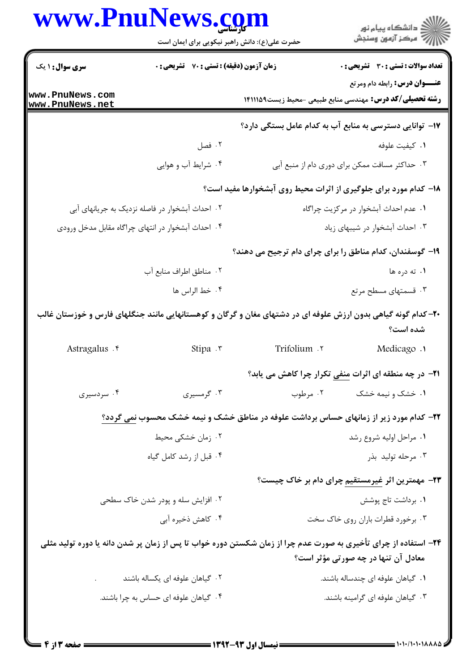| www.PnuNews.com                               | ے :<br>اسپانی استعادیا ، استخاب<br>اسپانی است آزمون وسنجش |
|-----------------------------------------------|-----------------------------------------------------------|
| حضرت علی(ع): دانش راهبر نیکویی برای ایمان است |                                                           |
|                                               |                                                           |

| <b>سری سوال : ۱ یک</b>                          | <b>زمان آزمون (دقیقه) : تستی : 70 ٪ تشریحی : 0</b> |               | تعداد سوالات : تستي : 30 ٪ تشريحي : 0                                                                                                                  |
|-------------------------------------------------|----------------------------------------------------|---------------|--------------------------------------------------------------------------------------------------------------------------------------------------------|
| www.PnuNews.com<br>www.PnuNews.net              |                                                    |               | <b>عنـــوان درس:</b> رابطه دام ومرتع<br><b>رشته تحصیلی/کد درس:</b> مهندسی منابع طبیعی -محیط زیست۱۴۱۱۱۵۹                                                |
|                                                 |                                                    |               | ۱۷– توانایی دسترسی به منابع آب به کدام عامل بستگی دارد؟                                                                                                |
|                                                 | ۰۲ فصل                                             |               | ٠١. كيفيت علوفه                                                                                                                                        |
|                                                 | ۰۴ شرایط آب و هوایی                                |               | ۰۳ حداکثر مسافت ممکن برای دوری دام از منبع آبی                                                                                                         |
|                                                 |                                                    |               | ۱۸- کدام مورد برای جلوگیری از اثرات محیط روی آبشخوارها مفید است؟                                                                                       |
| ۰۲ احداث آبشخوار در فاصله نزدیک به جریانهای آبی |                                                    |               | ۰۱ عدم احداث آبشخوار در مرکزیت چراگاه                                                                                                                  |
|                                                 | ۰۴ احداث آبشخوار در انتهای چراگاه مقابل مدخل ورودی |               | ۰۳ احداث آبشخوار در شیبهای زیاد                                                                                                                        |
|                                                 |                                                    |               | ۱۹- گوسفندان، کدام مناطق را برای چرای دام ترجیح می دهند؟                                                                                               |
|                                                 | ٠٢ مناطق اطراف منابع آب                            |               | ۱. ته دره ها                                                                                                                                           |
|                                                 | ۰۴ خط الراس ها                                     |               | ۰۳ قسمتهای مسطح مرتع                                                                                                                                   |
|                                                 |                                                    |               | +۲- کدام گونه گیاهی بدون ارزش علوفه ای در دشتهای مغان و گرگان و کوهستانهایی مانند جنگلهای فارس و خوزستان غالب<br>شده است؟                              |
| Astragalus . e                                  | Stipa .r                                           | Trifolium . ٢ | Medicago .                                                                                                                                             |
|                                                 |                                                    |               | <b>۲۱</b> - در چه منطقه ای اثرات <u>منفی</u> تکرار چرا کاهش می یابد؟                                                                                   |
| ۰۴ سردسیری                                      | ۰۳ گرمسیری                                         | ۰۲ مرطوب      | ۰۱ خشک و نیمه خشک                                                                                                                                      |
|                                                 |                                                    |               | ۲۲- کدام مورد زیر از زمانهای حساس برداشت علوفه در مناطق خشک و نیمه خشک محسوب نمی گردد؟                                                                 |
|                                                 | ۰۲ زمان خشکی محیط                                  |               | ۰۱ مراحل اولیه شروع رشد                                                                                                                                |
|                                                 | ۰۴ قبل از رشد کامل گیاه                            |               | ۰۳ مرحله تولید بذر                                                                                                                                     |
|                                                 |                                                    |               | ۲۳- مهمترین اثر غیرمستقیم چرای دام بر خاک چیست؟                                                                                                        |
|                                                 | ۰۲ افزایش سله و پودر شدن خاک سطحی                  |               | ٠١. برداشت تاج پوشش                                                                                                                                    |
|                                                 | ۰۴ کاهش ذخیره آبی                                  |               | ۰۳ برخورد قطرات باران روی خاک سخت                                                                                                                      |
|                                                 |                                                    |               | ۲۴- استفاده از چرای تأخیری به صورت عدم چرا از زمان شکستن دوره خواب تا پس از زمان پر شدن دانه یا دوره تولید مثلی<br>معادل آن تنها در چه صورتی مؤثر است؟ |
|                                                 | ۰۲ گیاهان علوفه ای یکساله باشند                    |               | ۰۱ گیاهان علوفه ای چندساله باشند.                                                                                                                      |
|                                                 | ۰۴ گیاهان علوفه ای حساس به چرا باشند.              |               | ۰۳ گیاهان علوفه ای گرامینه باشند.                                                                                                                      |